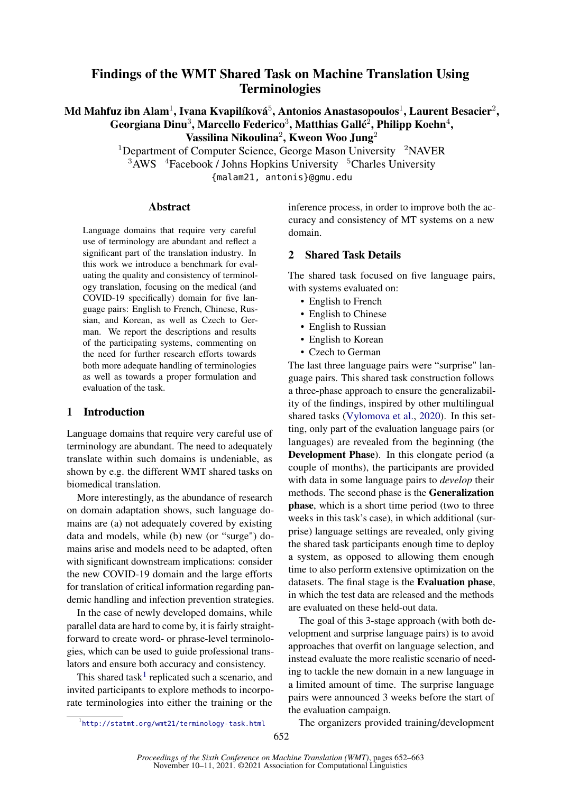# Findings of the WMT Shared Task on Machine Translation Using Terminologies

## Md Mahfuz ibn Alam $^1$ , Ivana Kvapilíková $^5$ , Antonios Anastasopoulos $^1$ , Laurent Besacier $^2,$ Georgiana Dinu $^3$ , Marcello Federico $^3$ , Matthias Gallé $^2$ , Philipp Koehn $^4$ , Vassilina Nikoulina<sup>2</sup>, Kweon Woo Jung<sup>2</sup>

<sup>1</sup>Department of Computer Science, George Mason University  $2NAVER$  $3$ AWS  $4$ Facebook / Johns Hopkins University  $5$ Charles University {malam21, antonis}@gmu.edu

#### Abstract

Language domains that require very careful use of terminology are abundant and reflect a significant part of the translation industry. In this work we introduce a benchmark for evaluating the quality and consistency of terminology translation, focusing on the medical (and COVID-19 specifically) domain for five language pairs: English to French, Chinese, Russian, and Korean, as well as Czech to German. We report the descriptions and results of the participating systems, commenting on the need for further research efforts towards both more adequate handling of terminologies as well as towards a proper formulation and evaluation of the task.

#### 1 Introduction

Language domains that require very careful use of terminology are abundant. The need to adequately translate within such domains is undeniable, as shown by e.g. the different WMT shared tasks on biomedical translation.

More interestingly, as the abundance of research on domain adaptation shows, such language domains are (a) not adequately covered by existing data and models, while (b) new (or "surge") domains arise and models need to be adapted, often with significant downstream implications: consider the new COVID-19 domain and the large efforts for translation of critical information regarding pandemic handling and infection prevention strategies.

In the case of newly developed domains, while parallel data are hard to come by, it is fairly straightforward to create word- or phrase-level terminologies, which can be used to guide professional translators and ensure both accuracy and consistency.

This shared task<sup>[1](#page-0-0)</sup> replicated such a scenario, and invited participants to explore methods to incorporate terminologies into either the training or the

inference process, in order to improve both the accuracy and consistency of MT systems on a new domain.

## 2 Shared Task Details

The shared task focused on five language pairs, with systems evaluated on:

- English to French
- English to Chinese
- English to Russian
- English to Korean
- Czech to German

The last three language pairs were "surprise" language pairs. This shared task construction follows a three-phase approach to ensure the generalizability of the findings, inspired by other multilingual shared tasks [\(Vylomova et al.,](#page-11-0) [2020\)](#page-11-0). In this setting, only part of the evaluation language pairs (or languages) are revealed from the beginning (the Development Phase). In this elongate period (a couple of months), the participants are provided with data in some language pairs to *develop* their methods. The second phase is the Generalization phase, which is a short time period (two to three weeks in this task's case), in which additional (surprise) language settings are revealed, only giving the shared task participants enough time to deploy a system, as opposed to allowing them enough time to also perform extensive optimization on the datasets. The final stage is the Evaluation phase, in which the test data are released and the methods are evaluated on these held-out data.

The goal of this 3-stage approach (with both development and surprise language pairs) is to avoid approaches that overfit on language selection, and instead evaluate the more realistic scenario of needing to tackle the new domain in a new language in a limited amount of time. The surprise language pairs were announced 3 weeks before the start of the evaluation campaign.

The organizers provided training/development

<span id="page-0-0"></span><sup>1</sup> <http://statmt.org/wmt21/terminology-task.html>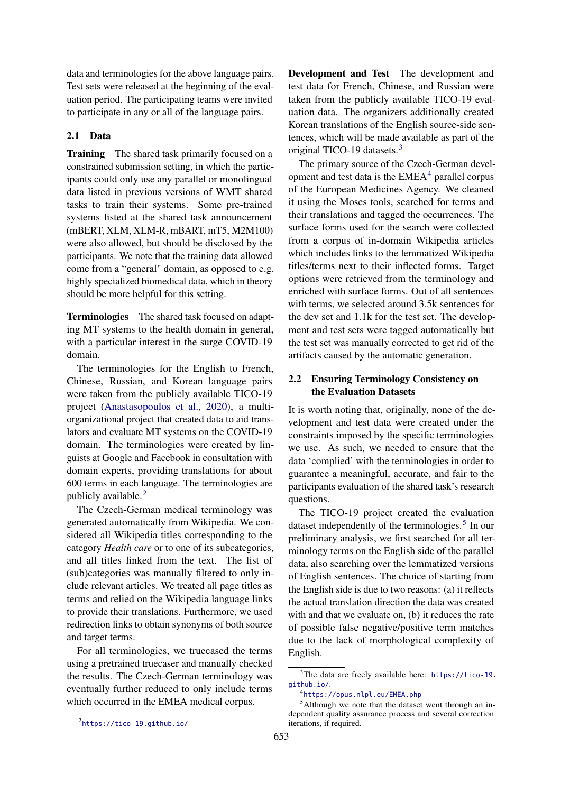data and terminologies for the above language pairs. Test sets were released at the beginning of the evaluation period. The participating teams were invited to participate in any or all of the language pairs.

#### 2.1 Data

Training The shared task primarily focused on a constrained submission setting, in which the participants could only use any parallel or monolingual data listed in previous versions of WMT shared tasks to train their systems. Some pre-trained systems listed at the shared task announcement (mBERT, XLM, XLM-R, mBART, mT5, M2M100) were also allowed, but should be disclosed by the participants. We note that the training data allowed come from a "general" domain, as opposed to e.g. highly specialized biomedical data, which in theory should be more helpful for this setting.

Terminologies The shared task focused on adapting MT systems to the health domain in general, with a particular interest in the surge COVID-19 domain.

The terminologies for the English to French, Chinese, Russian, and Korean language pairs were taken from the publicly available TICO-19 project [\(Anastasopoulos et al.,](#page-10-0) [2020\)](#page-10-0), a multiorganizational project that created data to aid translators and evaluate MT systems on the COVID-19 domain. The terminologies were created by linguists at Google and Facebook in consultation with domain experts, providing translations for about 600 terms in each language. The terminologies are publicly available.<sup>[2](#page-1-0)</sup>

The Czech-German medical terminology was generated automatically from Wikipedia. We considered all Wikipedia titles corresponding to the category *Health care* or to one of its subcategories, and all titles linked from the text. The list of (sub)categories was manually filtered to only include relevant articles. We treated all page titles as terms and relied on the Wikipedia language links to provide their translations. Furthermore, we used redirection links to obtain synonyms of both source and target terms.

For all terminologies, we truecased the terms using a pretrained truecaser and manually checked the results. The Czech-German terminology was eventually further reduced to only include terms which occurred in the EMEA medical corpus.

Development and Test The development and test data for French, Chinese, and Russian were taken from the publicly available TICO-19 evaluation data. The organizers additionally created Korean translations of the English source-side sentences, which will be made available as part of the original TICO-19 datasets.[3](#page-1-1)

The primary source of the Czech-German development and test data is the  $EMEA<sup>4</sup>$  $EMEA<sup>4</sup>$  $EMEA<sup>4</sup>$  parallel corpus of the European Medicines Agency. We cleaned it using the Moses tools, searched for terms and their translations and tagged the occurrences. The surface forms used for the search were collected from a corpus of in-domain Wikipedia articles which includes links to the lemmatized Wikipedia titles/terms next to their inflected forms. Target options were retrieved from the terminology and enriched with surface forms. Out of all sentences with terms, we selected around 3.5k sentences for the dev set and 1.1k for the test set. The development and test sets were tagged automatically but the test set was manually corrected to get rid of the artifacts caused by the automatic generation.

## 2.2 Ensuring Terminology Consistency on the Evaluation Datasets

It is worth noting that, originally, none of the development and test data were created under the constraints imposed by the specific terminologies we use. As such, we needed to ensure that the data 'complied' with the terminologies in order to guarantee a meaningful, accurate, and fair to the participants evaluation of the shared task's research questions.

The TICO-19 project created the evaluation dataset independently of the terminologies.<sup>[5](#page-1-3)</sup> In our preliminary analysis, we first searched for all terminology terms on the English side of the parallel data, also searching over the lemmatized versions of English sentences. The choice of starting from the English side is due to two reasons: (a) it reflects the actual translation direction the data was created with and that we evaluate on, (b) it reduces the rate of possible false negative/positive term matches due to the lack of morphological complexity of English.

<span id="page-1-1"></span><sup>3</sup>The data are freely available here: [https://tico-19.](https://tico-19.github.io/) [github.io/](https://tico-19.github.io/).

<span id="page-1-3"></span><span id="page-1-2"></span><sup>4</sup> <https://opus.nlpl.eu/EMEA.php>

<sup>&</sup>lt;sup>5</sup>Although we note that the dataset went through an independent quality assurance process and several correction iterations, if required.

<span id="page-1-0"></span> ${}^{2}$ <https://tico-19.github.io/>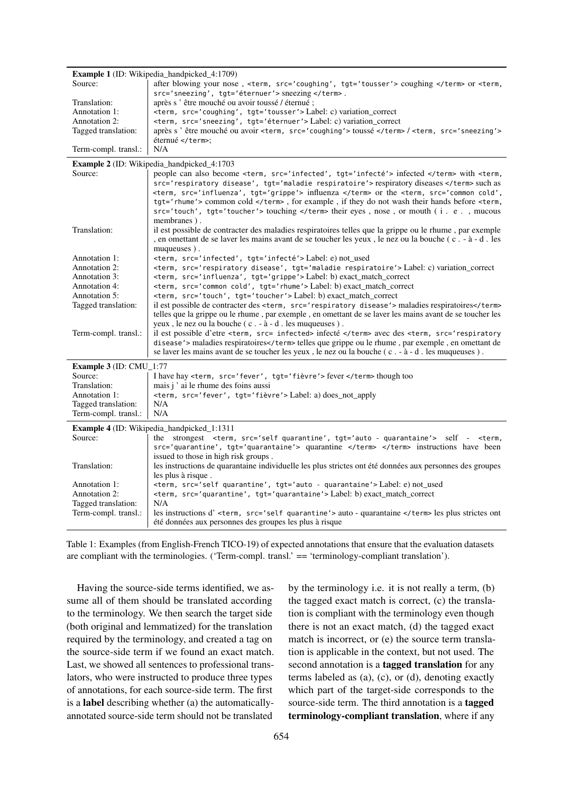<span id="page-2-0"></span>

|                                             | <b>Example 1</b> (ID: Wikipedia_handpicked_4:1709)                                                                                                                                                                                                                                                                          |
|---------------------------------------------|-----------------------------------------------------------------------------------------------------------------------------------------------------------------------------------------------------------------------------------------------------------------------------------------------------------------------------|
| Source:                                     | after blowing your nose, <term, ,="" src="coughing" tgt="tousser"> coughing  or <term,< td=""></term,<></term,>                                                                                                                                                                                                             |
|                                             | src='sneezing', tgt='éternuer'> sneezing .                                                                                                                                                                                                                                                                                  |
| Translation:                                | après s 'être mouché ou avoir toussé / éternué;                                                                                                                                                                                                                                                                             |
| Annotation 1:<br><b>Annotation 2:</b>       | <term, ,="" src="coughing" tgt="tousser"> Label: c) variation_correct</term,>                                                                                                                                                                                                                                               |
| Tagged translation:                         | <term, ,="" src="sneezing" tgt="éternuer"> Label: c) variation_correct<br/>après s 'être mouché ou avoir <term, src="coughing"> toussé /<term, src="sneezing"></term,></term,></term,>                                                                                                                                      |
|                                             | éternué ;                                                                                                                                                                                                                                                                                                                   |
| Term-compl. transl.:                        | N/A                                                                                                                                                                                                                                                                                                                         |
|                                             | Example 2 (ID: Wikipedia_handpicked_4:1703                                                                                                                                                                                                                                                                                  |
| Source:                                     | people can also become <term, ,="" src="infected" tqt="infecté"> infected  with <term,< td=""></term,<></term,>                                                                                                                                                                                                             |
|                                             | src='respiratory disease', tgt='maladie respiratoire'> respiratory diseases  such as                                                                                                                                                                                                                                        |
|                                             | <term, ,="" src="influenza" tgt="grippe"> influenza  or the <term, ,<="" src="common cold" td=""></term,></term,>                                                                                                                                                                                                           |
|                                             | tgt='rhume'> common cold , for example, if they do not wash their hands before <term,<br>src='touch', tgt='toucher'&gt; touching  their eyes, nose, or mouth (i.e., mucous</term,<br>                                                                                                                                       |
|                                             | membranes).                                                                                                                                                                                                                                                                                                                 |
| Translation:                                | il est possible de contracter des maladies respiratoires telles que la grippe ou le rhume, par exemple                                                                                                                                                                                                                      |
|                                             | , en omettant de se laver les mains avant de se toucher les yeux, le nez ou la bouche (c. - à - d. les                                                                                                                                                                                                                      |
|                                             | muqueuses).                                                                                                                                                                                                                                                                                                                 |
| Annotation 1:                               | <term, ,="" src="infected" tgt="infecté"> Label: e) not_used</term,>                                                                                                                                                                                                                                                        |
| Annotation 2:                               | <term, ,="" src="respiratory disease" tgt="maladie respiratoire"> Label: c) variation_correct</term,>                                                                                                                                                                                                                       |
| Annotation 3:                               | <term, ,="" src="influenza" tgt="grippe"> Label: b) exact_match_correct</term,>                                                                                                                                                                                                                                             |
| <b>Annotation 4:</b>                        | <term, ,="" src="common cold" tgt="rhume"> Label: b) exact_match_correct</term,>                                                                                                                                                                                                                                            |
| Annotation 5:                               | <term, ,="" src="touch" tgt="toucher"> Label: b) exact_match_correct</term,>                                                                                                                                                                                                                                                |
| Tagged translation:                         | il est possible de contracter des <term, src="respiratory disease"> maladies respiratoires</term,>                                                                                                                                                                                                                          |
|                                             | telles que la grippe ou le rhume, par exemple, en omettant de se laver les mains avant de se toucher les                                                                                                                                                                                                                    |
| Term-compl. transl.:                        | yeux, le nez ou la bouche (c. - à - d. les muqueuses).<br>il est possible d'etre <term, src="infected"> infecté  avec des <term, src="respiratory&lt;/td&gt;&lt;/tr&gt;&lt;tr&gt;&lt;td&gt;&lt;/td&gt;&lt;td&gt;disease"> maladies respiratoires telles que grippe ou le rhume, par exemple, en omettant de</term,></term,> |
|                                             | se laver les mains avant de se toucher les yeux, le nez ou la bouche (c. - à - d. les muqueuses).                                                                                                                                                                                                                           |
|                                             |                                                                                                                                                                                                                                                                                                                             |
| Example 3 (ID: CMU_1:77<br>Source:          | I have hay <term, ,="" src="fever" tgt="fièvre"> fever  though too</term,>                                                                                                                                                                                                                                                  |
| Translation:                                | mais j' ai le rhume des foins aussi                                                                                                                                                                                                                                                                                         |
| Annotation 1:                               | <term, ,="" src="fever" tgt="fièvre"> Label: a) does_not_apply</term,>                                                                                                                                                                                                                                                      |
| Tagged translation:                         | N/A                                                                                                                                                                                                                                                                                                                         |
| Term-compl. transl.:                        | N/A                                                                                                                                                                                                                                                                                                                         |
|                                             | Example 4 (ID: Wikipedia_handpicked_1:1311                                                                                                                                                                                                                                                                                  |
| Source:                                     | the strongest <term, ,="" src="self quarantine" tgt="auto - quarantaine"> self - <term,< td=""></term,<></term,>                                                                                                                                                                                                            |
|                                             | src='quarantine', tgt='quarantaine'> quarantine   instructions have been                                                                                                                                                                                                                                                    |
|                                             | issued to those in high risk groups.                                                                                                                                                                                                                                                                                        |
| Translation:                                | les instructions de quarantaine individuelle les plus strictes ont été données aux personnes des groupes                                                                                                                                                                                                                    |
|                                             | les plus à risque.                                                                                                                                                                                                                                                                                                          |
| Annotation 1:                               | <term, ,="" src="self quarantine" tgt="auto - quarantaine"> Label: e) not used</term,>                                                                                                                                                                                                                                      |
| Annotation 2:                               | <term, ,="" src="quarantine" tqt="quarantaine"> Label: b) exact_match_correct<br/>N/A</term,>                                                                                                                                                                                                                               |
| Tagged translation:<br>Term-compl. transl.: | les instructions d' <term, src="self quarantine"> auto - quarantaine  les plus strictes ont</term,>                                                                                                                                                                                                                         |
|                                             | été données aux personnes des groupes les plus à risque                                                                                                                                                                                                                                                                     |

Table 1: Examples (from English-French TICO-19) of expected annotations that ensure that the evaluation datasets are compliant with the terminologies. ('Term-compl. transl.' == 'terminology-compliant translation').

Having the source-side terms identified, we assume all of them should be translated according to the terminology. We then search the target side (both original and lemmatized) for the translation required by the terminology, and created a tag on the source-side term if we found an exact match. Last, we showed all sentences to professional translators, who were instructed to produce three types of annotations, for each source-side term. The first is a label describing whether (a) the automaticallyannotated source-side term should not be translated

by the terminology i.e. it is not really a term, (b) the tagged exact match is correct, (c) the translation is compliant with the terminology even though there is not an exact match, (d) the tagged exact match is incorrect, or (e) the source term translation is applicable in the context, but not used. The second annotation is a tagged translation for any terms labeled as (a), (c), or (d), denoting exactly which part of the target-side corresponds to the source-side term. The third annotation is a tagged terminology-compliant translation, where if any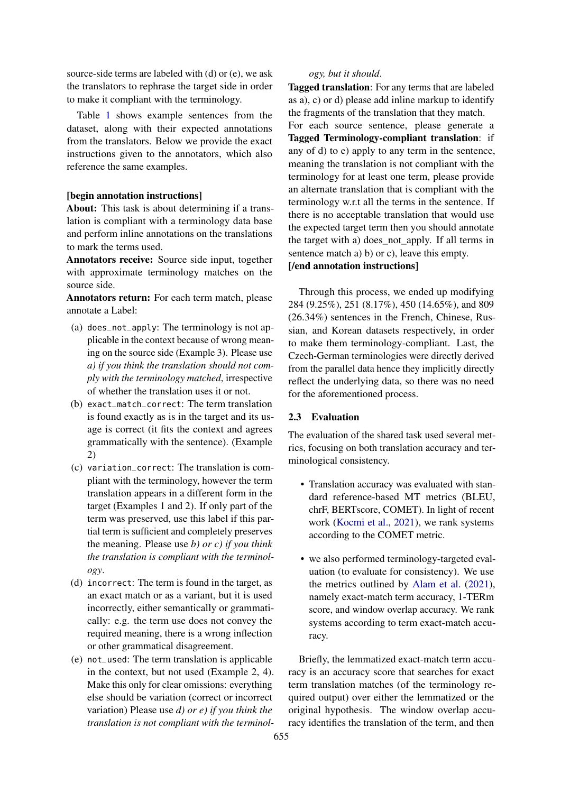source-side terms are labeled with (d) or (e), we ask the translators to rephrase the target side in order to make it compliant with the terminology.

Table [1](#page-2-0) shows example sentences from the dataset, along with their expected annotations from the translators. Below we provide the exact instructions given to the annotators, which also reference the same examples.

## [begin annotation instructions]

About: This task is about determining if a translation is compliant with a terminology data base and perform inline annotations on the translations to mark the terms used.

Annotators receive: Source side input, together with approximate terminology matches on the source side.

Annotators return: For each term match, please annotate a Label:

- (a) does\_not\_apply: The terminology is not applicable in the context because of wrong meaning on the source side (Example 3). Please use *a) if you think the translation should not comply with the terminology matched*, irrespective of whether the translation uses it or not.
- (b) exact\_match\_correct: The term translation is found exactly as is in the target and its usage is correct (it fits the context and agrees grammatically with the sentence). (Example 2)
- (c) variation\_correct: The translation is compliant with the terminology, however the term translation appears in a different form in the target (Examples 1 and 2). If only part of the term was preserved, use this label if this partial term is sufficient and completely preserves the meaning. Please use *b) or c) if you think the translation is compliant with the terminology*.
- (d) incorrect: The term is found in the target, as an exact match or as a variant, but it is used incorrectly, either semantically or grammatically: e.g. the term use does not convey the required meaning, there is a wrong inflection or other grammatical disagreement.
- (e) not\_used: The term translation is applicable in the context, but not used (Example 2, 4). Make this only for clear omissions: everything else should be variation (correct or incorrect variation) Please use *d) or e) if you think the translation is not compliant with the terminol-*

#### *ogy, but it should*.

Tagged translation: For any terms that are labeled as a), c) or d) please add inline markup to identify the fragments of the translation that they match.

For each source sentence, please generate a Tagged Terminology-compliant translation: if any of d) to e) apply to any term in the sentence, meaning the translation is not compliant with the terminology for at least one term, please provide an alternate translation that is compliant with the terminology w.r.t all the terms in the sentence. If there is no acceptable translation that would use the expected target term then you should annotate the target with a) does\_not\_apply. If all terms in sentence match a) b) or c), leave this empty. [/end annotation instructions]

Through this process, we ended up modifying 284 (9.25%), 251 (8.17%), 450 (14.65%), and 809 (26.34%) sentences in the French, Chinese, Russian, and Korean datasets respectively, in order to make them terminology-compliant. Last, the Czech-German terminologies were directly derived from the parallel data hence they implicitly directly reflect the underlying data, so there was no need for the aforementioned process.

## 2.3 Evaluation

The evaluation of the shared task used several metrics, focusing on both translation accuracy and terminological consistency.

- Translation accuracy was evaluated with standard reference-based MT metrics (BLEU, chrF, BERTscore, COMET). In light of recent work [\(Kocmi et al.,](#page-11-1) [2021\)](#page-11-1), we rank systems according to the COMET metric.
- we also performed terminology-targeted evaluation (to evaluate for consistency). We use the metrics outlined by [Alam et al.](#page-10-1) [\(2021\)](#page-10-1), namely exact-match term accuracy, 1-TERm score, and window overlap accuracy. We rank systems according to term exact-match accuracy.

Briefly, the lemmatized exact-match term accuracy is an accuracy score that searches for exact term translation matches (of the terminology required output) over either the lemmatized or the original hypothesis. The window overlap accuracy identifies the translation of the term, and then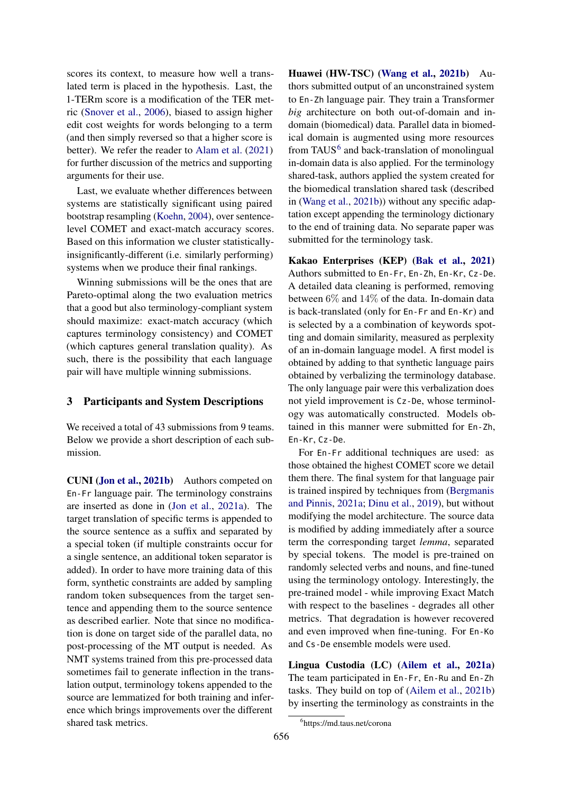scores its context, to measure how well a translated term is placed in the hypothesis. Last, the 1-TERm score is a modification of the TER metric [\(Snover et al.,](#page-11-2) [2006\)](#page-11-2), biased to assign higher edit cost weights for words belonging to a term (and then simply reversed so that a higher score is better). We refer the reader to [Alam et al.](#page-10-1) [\(2021\)](#page-10-1) for further discussion of the metrics and supporting arguments for their use.

Last, we evaluate whether differences between systems are statistically significant using paired bootstrap resampling [\(Koehn,](#page-11-3) [2004\)](#page-11-3), over sentencelevel COMET and exact-match accuracy scores. Based on this information we cluster statisticallyinsignificantly-different (i.e. similarly performing) systems when we produce their final rankings.

Winning submissions will be the ones that are Pareto-optimal along the two evaluation metrics that a good but also terminology-compliant system should maximize: exact-match accuracy (which captures terminology consistency) and COMET (which captures general translation quality). As such, there is the possibility that each language pair will have multiple winning submissions.

#### 3 Participants and System Descriptions

We received a total of 43 submissions from 9 teams. Below we provide a short description of each submission.

CUNI [\(Jon et al.,](#page-10-2) [2021b\)](#page-10-2) Authors competed on En-Fr language pair. The terminology constrains are inserted as done in [\(Jon et al.,](#page-10-3) [2021a\)](#page-10-3). The target translation of specific terms is appended to the source sentence as a suffix and separated by a special token (if multiple constraints occur for a single sentence, an additional token separator is added). In order to have more training data of this form, synthetic constraints are added by sampling random token subsequences from the target sentence and appending them to the source sentence as described earlier. Note that since no modification is done on target side of the parallel data, no post-processing of the MT output is needed. As NMT systems trained from this pre-processed data sometimes fail to generate inflection in the translation output, terminology tokens appended to the source are lemmatized for both training and inference which brings improvements over the different shared task metrics.

Huawei (HW-TSC) [\(Wang et al.,](#page-11-4) [2021b\)](#page-11-4) Authors submitted output of an unconstrained system to En-Zh language pair. They train a Transformer *big* architecture on both out-of-domain and indomain (biomedical) data. Parallel data in biomedical domain is augmented using more resources from TAUS<sup>[6](#page-4-0)</sup> and back-translation of monolingual in-domain data is also applied. For the terminology shared-task, authors applied the system created for the biomedical translation shared task (described in [\(Wang et al.,](#page-11-4) [2021b\)](#page-11-4)) without any specific adaptation except appending the terminology dictionary to the end of training data. No separate paper was submitted for the terminology task.

Kakao Enterprises (KEP) [\(Bak et al.,](#page-10-4) [2021\)](#page-10-4) Authors submitted to En-Fr, En-Zh, En-Kr, Cz-De. A detailed data cleaning is performed, removing between 6% and 14% of the data. In-domain data is back-translated (only for En-Fr and En-Kr) and is selected by a a combination of keywords spotting and domain similarity, measured as perplexity of an in-domain language model. A first model is obtained by adding to that synthetic language pairs obtained by verbalizing the terminology database. The only language pair were this verbalization does not yield improvement is Cz-De, whose terminology was automatically constructed. Models obtained in this manner were submitted for En-Zh, En-Kr, Cz-De.

For En-Fr additional techniques are used: as those obtained the highest COMET score we detail them there. The final system for that language pair is trained inspired by techniques from [\(Bergmanis](#page-10-5) [and Pinnis,](#page-10-5) [2021a;](#page-10-5) [Dinu et al.,](#page-10-6) [2019\)](#page-10-6), but without modifying the model architecture. The source data is modified by adding immediately after a source term the corresponding target *lemma*, separated by special tokens. The model is pre-trained on randomly selected verbs and nouns, and fine-tuned using the terminology ontology. Interestingly, the pre-trained model - while improving Exact Match with respect to the baselines - degrades all other metrics. That degradation is however recovered and even improved when fine-tuning. For En-Ko and Cs-De ensemble models were used.

Lingua Custodia (LC) [\(Ailem et al.,](#page-10-7) [2021a\)](#page-10-7) The team participated in En-Fr, En-Ru and En-Zh tasks. They build on top of [\(Ailem et al.,](#page-10-8) [2021b\)](#page-10-8) by inserting the terminology as constraints in the

<span id="page-4-0"></span><sup>6</sup> https://md.taus.net/corona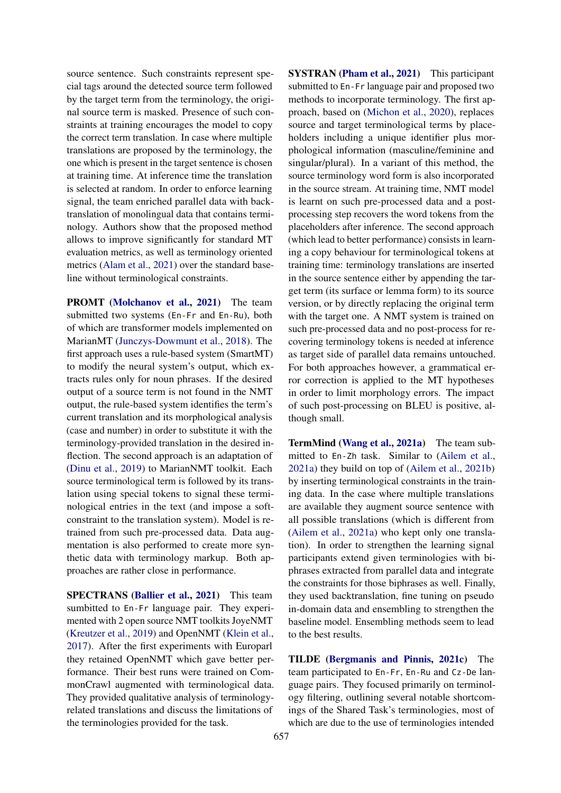source sentence. Such constraints represent special tags around the detected source term followed by the target term from the terminology, the original source term is masked. Presence of such constraints at training encourages the model to copy the correct term translation. In case where multiple translations are proposed by the terminology, the one which is present in the target sentence is chosen at training time. At inference time the translation is selected at random. In order to enforce learning signal, the team enriched parallel data with backtranslation of monolingual data that contains terminology. Authors show that the proposed method allows to improve significantly for standard MT evaluation metrics, as well as terminology oriented metrics [\(Alam et al.,](#page-10-1) [2021\)](#page-10-1) over the standard baseline without terminological constraints.

PROMT [\(Molchanov et al.,](#page-11-5) [2021\)](#page-11-5) The team submitted two systems (En-Fr and En-Ru), both of which are transformer models implemented on MarianMT [\(Junczys-Dowmunt et al.,](#page-10-9) [2018\)](#page-10-9). The first approach uses a rule-based system (SmartMT) to modify the neural system's output, which extracts rules only for noun phrases. If the desired output of a source term is not found in the NMT output, the rule-based system identifies the term's current translation and its morphological analysis (case and number) in order to substitute it with the terminology-provided translation in the desired inflection. The second approach is an adaptation of [\(Dinu et al.,](#page-10-6) [2019\)](#page-10-6) to MarianNMT toolkit. Each source terminological term is followed by its translation using special tokens to signal these terminological entries in the text (and impose a softconstraint to the translation system). Model is retrained from such pre-processed data. Data augmentation is also performed to create more synthetic data with terminology markup. Both approaches are rather close in performance.

SPECTRANS [\(Ballier et al.,](#page-10-10) [2021\)](#page-10-10) This team sumbitted to En-Fr language pair. They experimented with 2 open source NMT toolkits JoyeNMT [\(Kreutzer et al.,](#page-11-6) [2019\)](#page-11-6) and OpenNMT [\(Klein et al.,](#page-10-11) [2017\)](#page-10-11). After the first experiments with Europarl they retained OpenNMT which gave better performance. Their best runs were trained on CommonCrawl augmented with terminological data. They provided qualitative analysis of terminologyrelated translations and discuss the limitations of the terminologies provided for the task.

**SYSTRAN [\(Pham et al.,](#page-11-7) [2021\)](#page-11-7)** This participant submitted to En-Fr language pair and proposed two methods to incorporate terminology. The first approach, based on [\(Michon et al.,](#page-11-8) [2020\)](#page-11-8), replaces source and target terminological terms by placeholders including a unique identifier plus morphological information (masculine/feminine and singular/plural). In a variant of this method, the source terminology word form is also incorporated in the source stream. At training time, NMT model is learnt on such pre-processed data and a postprocessing step recovers the word tokens from the placeholders after inference. The second approach (which lead to better performance) consists in learning a copy behaviour for terminological tokens at training time: terminology translations are inserted in the source sentence either by appending the target term (its surface or lemma form) to its source version, or by directly replacing the original term with the target one. A NMT system is trained on such pre-processed data and no post-process for recovering terminology tokens is needed at inference as target side of parallel data remains untouched. For both approaches however, a grammatical error correction is applied to the MT hypotheses in order to limit morphology errors. The impact of such post-processing on BLEU is positive, although small.

TermMind [\(Wang et al.,](#page-11-9) [2021a\)](#page-11-9) The team submitted to En-Zh task. Similar to [\(Ailem et al.,](#page-10-7) [2021a\)](#page-10-7) they build on top of [\(Ailem et al.,](#page-10-8) [2021b\)](#page-10-8) by inserting terminological constraints in the training data. In the case where multiple translations are available they augment source sentence with all possible translations (which is different from [\(Ailem et al.,](#page-10-7) [2021a\)](#page-10-7) who kept only one translation). In order to strengthen the learning signal participants extend given terminologies with biphrases extracted from parallel data and integrate the constraints for those biphrases as well. Finally, they used backtranslation, fine tuning on pseudo in-domain data and ensembling to strengthen the baseline model. Ensembling methods seem to lead to the best results.

TILDE [\(Bergmanis and Pinnis,](#page-10-12) [2021c\)](#page-10-12) The team participated to En-Fr, En-Ru and Cz-De language pairs. They focused primarily on terminology filtering, outlining several notable shortcomings of the Shared Task's terminologies, most of which are due to the use of terminologies intended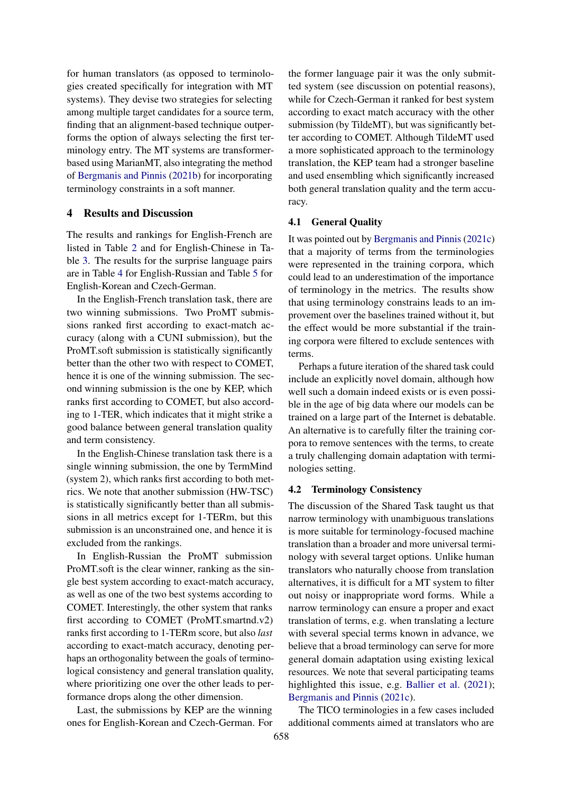for human translators (as opposed to terminologies created specifically for integration with MT systems). They devise two strategies for selecting among multiple target candidates for a source term, finding that an alignment-based technique outperforms the option of always selecting the first terminology entry. The MT systems are transformerbased using MarianMT, also integrating the method of [Bergmanis and Pinnis](#page-10-13) [\(2021b\)](#page-10-13) for incorporating terminology constraints in a soft manner.

#### 4 Results and Discussion

The results and rankings for English-French are listed in Table [2](#page-7-0) and for English-Chinese in Table [3.](#page-7-1) The results for the surprise language pairs are in Table [4](#page-7-2) for English-Russian and Table [5](#page-8-0) for English-Korean and Czech-German.

In the English-French translation task, there are two winning submissions. Two ProMT submissions ranked first according to exact-match accuracy (along with a CUNI submission), but the ProMT.soft submission is statistically significantly better than the other two with respect to COMET, hence it is one of the winning submission. The second winning submission is the one by KEP, which ranks first according to COMET, but also according to 1-TER, which indicates that it might strike a good balance between general translation quality and term consistency.

In the English-Chinese translation task there is a single winning submission, the one by TermMind (system 2), which ranks first according to both metrics. We note that another submission (HW-TSC) is statistically significantly better than all submissions in all metrics except for 1-TERm, but this submission is an unconstrained one, and hence it is excluded from the rankings.

In English-Russian the ProMT submission ProMT.soft is the clear winner, ranking as the single best system according to exact-match accuracy, as well as one of the two best systems according to COMET. Interestingly, the other system that ranks first according to COMET (ProMT.smartnd.v2) ranks first according to 1-TERm score, but also *last* according to exact-match accuracy, denoting perhaps an orthogonality between the goals of terminological consistency and general translation quality, where prioritizing one over the other leads to performance drops along the other dimension.

Last, the submissions by KEP are the winning ones for English-Korean and Czech-German. For the former language pair it was the only submitted system (see discussion on potential reasons), while for Czech-German it ranked for best system according to exact match accuracy with the other submission (by TildeMT), but was significantly better according to COMET. Although TildeMT used a more sophisticated approach to the terminology translation, the KEP team had a stronger baseline and used ensembling which significantly increased both general translation quality and the term accuracy.

#### 4.1 General Quality

It was pointed out by [Bergmanis and Pinnis](#page-10-12) [\(2021c\)](#page-10-12) that a majority of terms from the terminologies were represented in the training corpora, which could lead to an underestimation of the importance of terminology in the metrics. The results show that using terminology constrains leads to an improvement over the baselines trained without it, but the effect would be more substantial if the training corpora were filtered to exclude sentences with terms.

Perhaps a future iteration of the shared task could include an explicitly novel domain, although how well such a domain indeed exists or is even possible in the age of big data where our models can be trained on a large part of the Internet is debatable. An alternative is to carefully filter the training corpora to remove sentences with the terms, to create a truly challenging domain adaptation with terminologies setting.

#### 4.2 Terminology Consistency

The discussion of the Shared Task taught us that narrow terminology with unambiguous translations is more suitable for terminology-focused machine translation than a broader and more universal terminology with several target options. Unlike human translators who naturally choose from translation alternatives, it is difficult for a MT system to filter out noisy or inappropriate word forms. While a narrow terminology can ensure a proper and exact translation of terms, e.g. when translating a lecture with several special terms known in advance, we believe that a broad terminology can serve for more general domain adaptation using existing lexical resources. We note that several participating teams highlighted this issue, e.g. [Ballier et al.](#page-10-10) [\(2021\)](#page-10-10); [Bergmanis and Pinnis](#page-10-12) [\(2021c\)](#page-10-12).

The TICO terminologies in a few cases included additional comments aimed at translators who are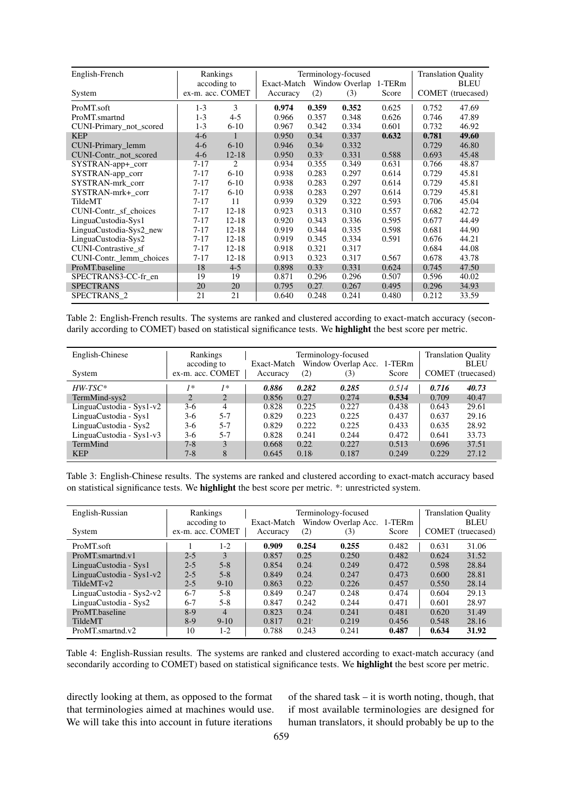<span id="page-7-0"></span>

| English-French           | Rankings         |           |             |       | Terminology-focused |        |       | <b>Translation Quality</b> |
|--------------------------|------------------|-----------|-------------|-------|---------------------|--------|-------|----------------------------|
|                          | accoding to      |           | Exact-Match |       | Window Overlap      | 1-TERm |       | <b>BLEU</b>                |
| System                   | ex-m. acc. COMET |           | Accuracy    | (2)   | (3)                 | Score  |       | COMET (truecased)          |
| ProMT.soft               | $1-3$            | 3         | 0.974       | 0.359 | 0.352               | 0.625  | 0.752 | 47.69                      |
| ProMT.smartnd            | $1 - 3$          | $4 - 5$   | 0.966       | 0.357 | 0.348               | 0.626  | 0.746 | 47.89                      |
| CUNI-Primary_not_scored  | $1 - 3$          | $6 - 10$  | 0.967       | 0.342 | 0.334               | 0.601  | 0.732 | 46.92                      |
| <b>KEP</b>               | $4-6$            | 1         | 0.950       | 0.34  | 0.337               | 0.632  | 0.781 | 49.60                      |
| CUNI-Primary_lemm        | $4-6$            | $6 - 10$  | 0.946       | 0.34  | 0.332               |        | 0.729 | 46.80                      |
| CUNI-Contr. not scored   | $4-6$            | $12 - 18$ | 0.950       | 0.33' | 0.331               | 0.588  | 0.693 | 45.48                      |
| SYSTRAN-app+_corr        | $7 - 17$         | 2         | 0.934       | 0.355 | 0.349               | 0.631  | 0.766 | 48.87                      |
| SYSTRAN-app_corr         | $7 - 17$         | $6 - 10$  | 0.938       | 0.283 | 0.297               | 0.614  | 0.729 | 45.81                      |
| SYSTRAN-mrk corr         | $7 - 17$         | $6 - 10$  | 0.938       | 0.283 | 0.297               | 0.614  | 0.729 | 45.81                      |
| SYSTRAN-mrk+ corr        | $7 - 17$         | $6 - 10$  | 0.938       | 0.283 | 0.297               | 0.614  | 0.729 | 45.81                      |
| TildeMT                  | $7 - 17$         | 11        | 0.939       | 0.329 | 0.322               | 0.593  | 0.706 | 45.04                      |
| CUNI-Contr._sf_choices   | $7 - 17$         | $12 - 18$ | 0.923       | 0.313 | 0.310               | 0.557  | 0.682 | 42.72                      |
| LinguaCustodia-Sys1      | $7 - 17$         | $12 - 18$ | 0.920       | 0.343 | 0.336               | 0.595  | 0.677 | 44.49                      |
| LinguaCustodia-Sys2_new  | $7 - 17$         | $12 - 18$ | 0.919       | 0.344 | 0.335               | 0.598  | 0.681 | 44.90                      |
| LinguaCustodia-Sys2      | $7 - 17$         | $12 - 18$ | 0.919       | 0.345 | 0.334               | 0.591  | 0.676 | 44.21                      |
| CUNI-Contrastive sf      | $7 - 17$         | $12 - 18$ | 0.918       | 0.321 | 0.317               |        | 0.684 | 44.08                      |
| CUNI-Contr. lemm choices | $7 - 17$         | $12 - 18$ | 0.913       | 0.323 | 0.317               | 0.567  | 0.678 | 43.78                      |
| ProMT.baseline           | 18               | $4 - 5$   | 0.898       | 0.33' | 0.331               | 0.624  | 0.745 | 47.50                      |
| SPECTRANS3-CC-fr en      | 19               | 19        | 0.871       | 0.296 | 0.296               | 0.507  | 0.596 | 40.02                      |
| <b>SPECTRANS</b>         | 20               | 20        | 0.795       | 0.27. | 0.267               | 0.495  | 0.296 | 34.93                      |
| SPECTRANS <sub>2</sub>   | 21               | 21        | 0.640       | 0.248 | 0.241               | 0.480  | 0.212 | 33.59                      |

Table 2: English-French results. The systems are ranked and clustered according to exact-match accuracy (secondarily according to COMET) based on statistical significance tests. We **highlight** the best score per metric.

<span id="page-7-1"></span>

| English-Chinese          | Rankings                        |         |                         | Terminology-focused | <b>Translation Quality</b>        |       |       |                                  |
|--------------------------|---------------------------------|---------|-------------------------|---------------------|-----------------------------------|-------|-------|----------------------------------|
| System                   | accoding to<br>ex-m. acc. COMET |         | Exact-Match<br>Accuracy | (2)                 | Window Overlap Acc. 1-TERm<br>(3) | Score |       | <b>BLEU</b><br>COMET (truecased) |
| $HWTSC*$                 | 1*                              | 1*      | 0.886                   | 0.282               | 0.285                             | 0.514 | 0.716 | 40.73                            |
| TermMind-sys2            | $\mathcal{D}_{\cdot}$           | 2       | 0.856                   | 0.27                | 0.274                             | 0.534 | 0.709 | 40.47                            |
| LinguaCustodia - Sys1-v2 | $3-6$                           | 4       | 0.828                   | 0.225               | 0.227                             | 0.438 | 0.643 | 29.61                            |
| LinguaCustodia - Sys1    | $3-6$                           | $5 - 7$ | 0.829                   | 0.223               | 0.225                             | 0.437 | 0.637 | 29.16                            |
| LinguaCustodia - Sys2    | $3-6$                           | $5 - 7$ | 0.829                   | 0.222               | 0.225                             | 0.433 | 0.635 | 28.92                            |
| LinguaCustodia - Sys1-v3 | $3-6$                           | $5 - 7$ | 0.828                   | 0.241               | 0.244                             | 0.472 | 0.641 | 33.73                            |
| TermMind                 | $7 - 8$                         | 3       | 0.668                   | 0.22                | 0.227                             | 0.513 | 0.696 | 37.51                            |
| <b>KEP</b>               | $7 - 8$                         | 8       | 0.645                   | 0.18                | 0.187                             | 0.249 | 0.229 | 27.12                            |

Table 3: English-Chinese results. The systems are ranked and clustered according to exact-match accuracy based on statistical significance tests. We highlight the best score per metric. \*: unrestricted system.

<span id="page-7-2"></span>

| English-Russian          | Rankings         |                |                                    | Terminology-focused | <b>Translation Quality</b> |        |       |                   |
|--------------------------|------------------|----------------|------------------------------------|---------------------|----------------------------|--------|-------|-------------------|
|                          |                  | accoding to    | Exact-Match<br>Window Overlap Acc. |                     |                            | 1-TERm |       | <b>BLEU</b>       |
| System                   | ex-m. acc. COMET |                | Accuracy                           | (2)                 | (3)                        | Score  |       | COMET (truecased) |
| ProMT.soft               |                  | $1-2$          | 0.909                              | 0.254               | 0.255                      | 0.482  | 0.631 | 31.06             |
| ProMT.smartnd.v1         | $2 - 5$          | 3              | 0.857                              | 0.25                | 0.250                      | 0.482  | 0.624 | 31.52             |
| LinguaCustodia - Sys1    | $2 - 5$          | $5 - 8$        | 0.854                              | 0.24                | 0.249                      | 0.472  | 0.598 | 28.84             |
| LinguaCustodia - Sys1-v2 | $2 - 5$          | $5 - 8$        | 0.849                              | 0.24                | 0.247                      | 0.473  | 0.600 | 28.81             |
| TildeMT-v2               | $2 - 5$          | $9-10$         | 0.863                              | 0.22 <sub>1</sub>   | 0.226                      | 0.457  | 0.550 | 28.14             |
| LinguaCustodia - Sys2-v2 | $6-7$            | $5 - 8$        | 0.849                              | 0.247               | 0.248                      | 0.474  | 0.604 | 29.13             |
| LinguaCustodia - Sys2    | $6 - 7$          | $5 - 8$        | 0.847                              | 0.242               | 0.244                      | 0.471  | 0.601 | 28.97             |
| ProMT.baseline           | $8-9$            | $\overline{4}$ | 0.823                              | 0.24                | 0.241                      | 0.481  | 0.620 | 31.49             |
| <b>TildeMT</b>           | $8-9$            | $9-10$         | 0.817                              | 0.21                | 0.219                      | 0.456  | 0.548 | 28.16             |
| ProMT.smartnd.v2         | 10               | $1-2$          | 0.788                              | 0.243               | 0.241                      | 0.487  | 0.634 | 31.92             |

Table 4: English-Russian results. The systems are ranked and clustered according to exact-match accuracy (and secondarily according to COMET) based on statistical significance tests. We **highlight** the best score per metric.

directly looking at them, as opposed to the format that terminologies aimed at machines would use. We will take this into account in future iterations

of the shared task – it is worth noting, though, that if most available terminologies are designed for human translators, it should probably be up to the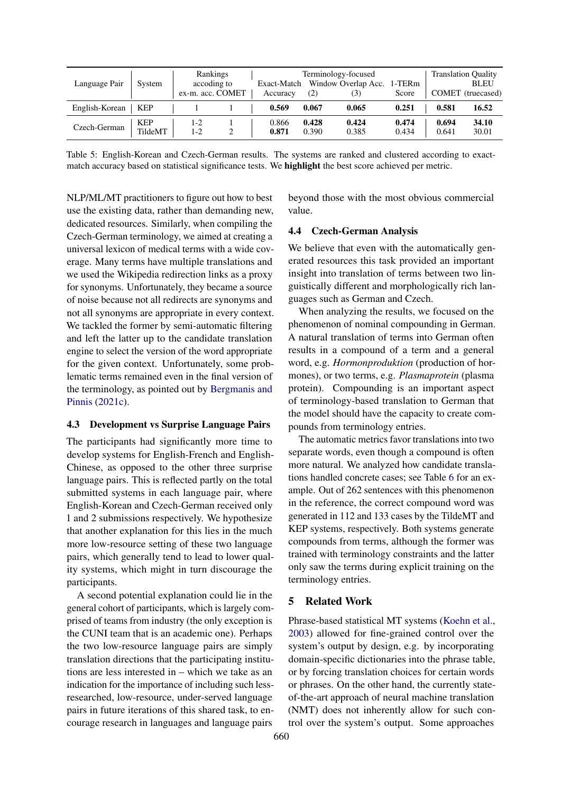<span id="page-8-0"></span>

| Language Pair  | System                | Rankings<br>accoding to<br>ex-m. acc. COMET | Exact-Match<br>Accuracy | (2)            | Terminology-focused<br>Window Overlap Acc.<br>(3) | 1-TERm<br>Score |                | <b>Translation Quality</b><br><b>BLEU</b><br>COMET (truecased) |
|----------------|-----------------------|---------------------------------------------|-------------------------|----------------|---------------------------------------------------|-----------------|----------------|----------------------------------------------------------------|
| English-Korean | KEP                   |                                             | 0.569                   | 0.067          | 0.065                                             | 0.251           | 0.581          | 16.52                                                          |
| Czech-German   | <b>KEP</b><br>TildeMT | $1-2$<br>1-2                                | 0.866<br>0.871          | 0.428<br>0.390 | 0.424<br>0.385                                    | 0.474<br>0.434  | 0.694<br>0.641 | 34.10<br>30.01                                                 |

Table 5: English-Korean and Czech-German results. The systems are ranked and clustered according to exactmatch accuracy based on statistical significance tests. We highlight the best score achieved per metric.

NLP/ML/MT practitioners to figure out how to best use the existing data, rather than demanding new, dedicated resources. Similarly, when compiling the Czech-German terminology, we aimed at creating a universal lexicon of medical terms with a wide coverage. Many terms have multiple translations and we used the Wikipedia redirection links as a proxy for synonyms. Unfortunately, they became a source of noise because not all redirects are synonyms and not all synonyms are appropriate in every context. We tackled the former by semi-automatic filtering and left the latter up to the candidate translation engine to select the version of the word appropriate for the given context. Unfortunately, some problematic terms remained even in the final version of the terminology, as pointed out by [Bergmanis and](#page-10-12) [Pinnis](#page-10-12) [\(2021c\)](#page-10-12).

#### 4.3 Development vs Surprise Language Pairs

The participants had significantly more time to develop systems for English-French and English-Chinese, as opposed to the other three surprise language pairs. This is reflected partly on the total submitted systems in each language pair, where English-Korean and Czech-German received only 1 and 2 submissions respectively. We hypothesize that another explanation for this lies in the much more low-resource setting of these two language pairs, which generally tend to lead to lower quality systems, which might in turn discourage the participants.

A second potential explanation could lie in the general cohort of participants, which is largely comprised of teams from industry (the only exception is the CUNI team that is an academic one). Perhaps the two low-resource language pairs are simply translation directions that the participating institutions are less interested in – which we take as an indication for the importance of including such lessresearched, low-resource, under-served language pairs in future iterations of this shared task, to encourage research in languages and language pairs

beyond those with the most obvious commercial value.

## 4.4 Czech-German Analysis

We believe that even with the automatically generated resources this task provided an important insight into translation of terms between two linguistically different and morphologically rich languages such as German and Czech.

When analyzing the results, we focused on the phenomenon of nominal compounding in German. A natural translation of terms into German often results in a compound of a term and a general word, e.g. *Hormonproduktion* (production of hormones), or two terms, e.g. *Plasmaprotein* (plasma protein). Compounding is an important aspect of terminology-based translation to German that the model should have the capacity to create compounds from terminology entries.

The automatic metrics favor translations into two separate words, even though a compound is often more natural. We analyzed how candidate translations handled concrete cases; see Table [6](#page-9-0) for an example. Out of 262 sentences with this phenomenon in the reference, the correct compound word was generated in 112 and 133 cases by the TildeMT and KEP systems, respectively. Both systems generate compounds from terms, although the former was trained with terminology constraints and the latter only saw the terms during explicit training on the terminology entries.

#### 5 Related Work

Phrase-based statistical MT systems [\(Koehn et al.,](#page-11-10) [2003\)](#page-11-10) allowed for fine-grained control over the system's output by design, e.g. by incorporating domain-specific dictionaries into the phrase table, or by forcing translation choices for certain words or phrases. On the other hand, the currently stateof-the-art approach of neural machine translation (NMT) does not inherently allow for such control over the system's output. Some approaches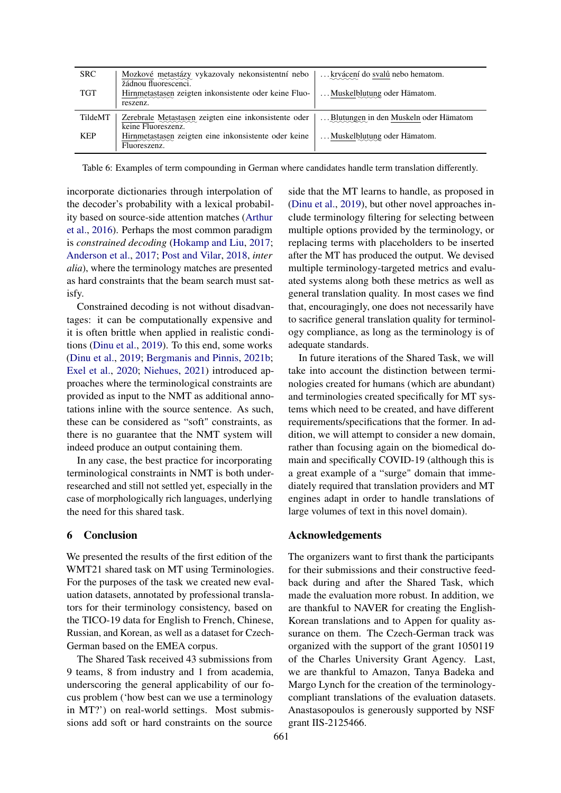<span id="page-9-0"></span>

| <b>SRC</b> | Mozkové metastázy vykazovaly nekonsistentní nebo<br>žádnou fluorescenci.                       | krvácení do svalů nebo hematom.       |
|------------|------------------------------------------------------------------------------------------------|---------------------------------------|
| <b>TGT</b> | Hirnmetastasen zeigten inkonsistente oder keine Fluo-<br>reszenz.                              | Muskelblutung oder Hämatom.           |
| TildeMT    | Zerebrale Metastasen zeigten eine inkonsistente oder<br>keine Fluoreszenz.                     | Blutungen in den Muskeln oder Hämatom |
| KEP        | Hirnmetastasen zeigten eine inkonsistente oder keine<br>$\sim\sim\sim\sim\sim$<br>Fluoreszenz. | Muskelblutung oder Hämatom.           |

Table 6: Examples of term compounding in German where candidates handle term translation differently.

incorporate dictionaries through interpolation of the decoder's probability with a lexical probability based on source-side attention matches [\(Arthur](#page-10-14) [et al.,](#page-10-14) [2016\)](#page-10-14). Perhaps the most common paradigm is *constrained decoding* [\(Hokamp and Liu,](#page-10-15) [2017;](#page-10-15) [Anderson et al.,](#page-10-16) [2017;](#page-10-16) [Post and Vilar,](#page-11-11) [2018,](#page-11-11) *inter alia*), where the terminology matches are presented as hard constraints that the beam search must satisfy.

Constrained decoding is not without disadvantages: it can be computationally expensive and it is often brittle when applied in realistic conditions [\(Dinu et al.,](#page-10-6) [2019\)](#page-10-6). To this end, some works [\(Dinu et al.,](#page-10-6) [2019;](#page-10-6) [Bergmanis and Pinnis,](#page-10-13) [2021b;](#page-10-13) [Exel et al.,](#page-10-17) [2020;](#page-10-17) [Niehues,](#page-11-12) [2021\)](#page-11-12) introduced approaches where the terminological constraints are provided as input to the NMT as additional annotations inline with the source sentence. As such, these can be considered as "soft" constraints, as there is no guarantee that the NMT system will indeed produce an output containing them.

In any case, the best practice for incorporating terminological constraints in NMT is both underresearched and still not settled yet, especially in the case of morphologically rich languages, underlying the need for this shared task.

## 6 Conclusion

We presented the results of the first edition of the WMT21 shared task on MT using Terminologies. For the purposes of the task we created new evaluation datasets, annotated by professional translators for their terminology consistency, based on the TICO-19 data for English to French, Chinese, Russian, and Korean, as well as a dataset for Czech-German based on the EMEA corpus.

The Shared Task received 43 submissions from 9 teams, 8 from industry and 1 from academia, underscoring the general applicability of our focus problem ('how best can we use a terminology in MT?') on real-world settings. Most submissions add soft or hard constraints on the source

side that the MT learns to handle, as proposed in [\(Dinu et al.,](#page-10-6) [2019\)](#page-10-6), but other novel approaches include terminology filtering for selecting between multiple options provided by the terminology, or replacing terms with placeholders to be inserted after the MT has produced the output. We devised multiple terminology-targeted metrics and evaluated systems along both these metrics as well as general translation quality. In most cases we find that, encouragingly, one does not necessarily have to sacrifice general translation quality for terminology compliance, as long as the terminology is of adequate standards.

In future iterations of the Shared Task, we will take into account the distinction between terminologies created for humans (which are abundant) and terminologies created specifically for MT systems which need to be created, and have different requirements/specifications that the former. In addition, we will attempt to consider a new domain, rather than focusing again on the biomedical domain and specifically COVID-19 (although this is a great example of a "surge" domain that immediately required that translation providers and MT engines adapt in order to handle translations of large volumes of text in this novel domain).

#### Acknowledgements

The organizers want to first thank the participants for their submissions and their constructive feedback during and after the Shared Task, which made the evaluation more robust. In addition, we are thankful to NAVER for creating the English-Korean translations and to Appen for quality assurance on them. The Czech-German track was organized with the support of the grant 1050119 of the Charles University Grant Agency. Last, we are thankful to Amazon, Tanya Badeka and Margo Lynch for the creation of the terminologycompliant translations of the evaluation datasets. Anastasopoulos is generously supported by NSF grant IIS-2125466.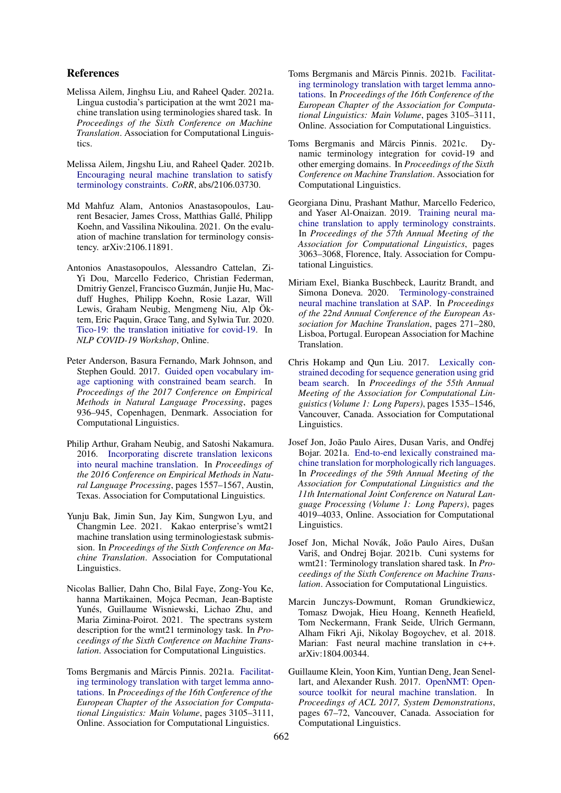#### References

- <span id="page-10-7"></span>Melissa Ailem, Jinghsu Liu, and Raheel Qader. 2021a. Lingua custodia's participation at the wmt 2021 machine translation using terminologies shared task. In *Proceedings of the Sixth Conference on Machine Translation*. Association for Computational Linguistics.
- <span id="page-10-8"></span>Melissa Ailem, Jingshu Liu, and Raheel Qader. 2021b. [Encouraging neural machine translation to satisfy](http://arxiv.org/abs/2106.03730) [terminology constraints.](http://arxiv.org/abs/2106.03730) *CoRR*, abs/2106.03730.
- <span id="page-10-1"></span>Md Mahfuz Alam, Antonios Anastasopoulos, Laurent Besacier, James Cross, Matthias Gallé, Philipp Koehn, and Vassilina Nikoulina. 2021. On the evaluation of machine translation for terminology consistency. arXiv:2106.11891.
- <span id="page-10-0"></span>Antonios Anastasopoulos, Alessandro Cattelan, Zi-Yi Dou, Marcello Federico, Christian Federman, Dmitriy Genzel, Francisco Guzmán, Junjie Hu, Macduff Hughes, Philipp Koehn, Rosie Lazar, Will Lewis, Graham Neubig, Mengmeng Niu, Alp Öktem, Eric Paquin, Grace Tang, and Sylwia Tur. 2020. [Tico-19: the translation initiative for covid-19.](https://openreview.net/pdf?id=-0xPrt01VXD) In *NLP COVID-19 Workshop*, Online.
- <span id="page-10-16"></span>Peter Anderson, Basura Fernando, Mark Johnson, and Stephen Gould. 2017. [Guided open vocabulary im](https://doi.org/10.18653/v1/D17-1098)[age captioning with constrained beam search.](https://doi.org/10.18653/v1/D17-1098) In *Proceedings of the 2017 Conference on Empirical Methods in Natural Language Processing*, pages 936–945, Copenhagen, Denmark. Association for Computational Linguistics.
- <span id="page-10-14"></span>Philip Arthur, Graham Neubig, and Satoshi Nakamura. 2016. [Incorporating discrete translation lexicons](https://doi.org/10.18653/v1/D16-1162) [into neural machine translation.](https://doi.org/10.18653/v1/D16-1162) In *Proceedings of the 2016 Conference on Empirical Methods in Natural Language Processing*, pages 1557–1567, Austin, Texas. Association for Computational Linguistics.
- <span id="page-10-4"></span>Yunju Bak, Jimin Sun, Jay Kim, Sungwon Lyu, and Changmin Lee. 2021. Kakao enterprise's wmt21 machine translation using terminologiestask submission. In *Proceedings of the Sixth Conference on Machine Translation*. Association for Computational Linguistics.
- <span id="page-10-10"></span>Nicolas Ballier, Dahn Cho, Bilal Faye, Zong-You Ke, hanna Martikainen, Mojca Pecman, Jean-Baptiste Yunés, Guillaume Wisniewski, Lichao Zhu, and Maria Zimina-Poirot. 2021. The spectrans system description for the wmt21 terminology task. In *Proceedings of the Sixth Conference on Machine Translation*. Association for Computational Linguistics.
- <span id="page-10-5"></span>Toms Bergmanis and Mārcis Pinnis. 2021a. [Facilitat](https://aclanthology.org/2021.eacl-main.271)[ing terminology translation with target lemma anno](https://aclanthology.org/2021.eacl-main.271)[tations.](https://aclanthology.org/2021.eacl-main.271) In *Proceedings of the 16th Conference of the European Chapter of the Association for Computational Linguistics: Main Volume*, pages 3105–3111, Online. Association for Computational Linguistics.
- <span id="page-10-13"></span>Toms Bergmanis and Mārcis Pinnis. 2021b. [Facilitat](https://www.aclweb.org/anthology/2021.eacl-main.271)[ing terminology translation with target lemma anno](https://www.aclweb.org/anthology/2021.eacl-main.271)[tations.](https://www.aclweb.org/anthology/2021.eacl-main.271) In *Proceedings of the 16th Conference of the European Chapter of the Association for Computational Linguistics: Main Volume*, pages 3105–3111, Online. Association for Computational Linguistics.
- <span id="page-10-12"></span>Toms Bergmanis and Mārcis Pinnis. 2021c. Dynamic terminology integration for covid-19 and other emerging domains. In *Proceedings of the Sixth Conference on Machine Translation*. Association for Computational Linguistics.
- <span id="page-10-6"></span>Georgiana Dinu, Prashant Mathur, Marcello Federico, and Yaser Al-Onaizan. 2019. [Training neural ma](https://doi.org/10.18653/v1/P19-1294)[chine translation to apply terminology constraints.](https://doi.org/10.18653/v1/P19-1294) In *Proceedings of the 57th Annual Meeting of the Association for Computational Linguistics*, pages 3063–3068, Florence, Italy. Association for Computational Linguistics.
- <span id="page-10-17"></span>Miriam Exel, Bianka Buschbeck, Lauritz Brandt, and Simona Doneva. 2020. [Terminology-constrained](https://aclanthology.org/2020.eamt-1.29) [neural machine translation at SAP.](https://aclanthology.org/2020.eamt-1.29) In *Proceedings of the 22nd Annual Conference of the European Association for Machine Translation*, pages 271–280, Lisboa, Portugal. European Association for Machine Translation.
- <span id="page-10-15"></span>Chris Hokamp and Qun Liu. 2017. [Lexically con](https://doi.org/10.18653/v1/P17-1141)[strained decoding for sequence generation using grid](https://doi.org/10.18653/v1/P17-1141) [beam search.](https://doi.org/10.18653/v1/P17-1141) In *Proceedings of the 55th Annual Meeting of the Association for Computational Linguistics (Volume 1: Long Papers)*, pages 1535–1546, Vancouver, Canada. Association for Computational Linguistics.
- <span id="page-10-3"></span>Josef Jon, João Paulo Aires, Dusan Varis, and Ondřej Bojar. 2021a. [End-to-end lexically constrained ma](https://doi.org/10.18653/v1/2021.acl-long.311)[chine translation for morphologically rich languages.](https://doi.org/10.18653/v1/2021.acl-long.311) In *Proceedings of the 59th Annual Meeting of the Association for Computational Linguistics and the 11th International Joint Conference on Natural Language Processing (Volume 1: Long Papers)*, pages 4019–4033, Online. Association for Computational Linguistics.
- <span id="page-10-2"></span>Josef Jon, Michal Novák, João Paulo Aires, Dušan Variš, and Ondrej Bojar. 2021b. Cuni systems for wmt21: Terminology translation shared task. In *Proceedings of the Sixth Conference on Machine Translation*. Association for Computational Linguistics.
- <span id="page-10-9"></span>Marcin Junczys-Dowmunt, Roman Grundkiewicz, Tomasz Dwojak, Hieu Hoang, Kenneth Heafield, Tom Neckermann, Frank Seide, Ulrich Germann, Alham Fikri Aji, Nikolay Bogoychev, et al. 2018. Marian: Fast neural machine translation in  $c++$ . arXiv:1804.00344.
- <span id="page-10-11"></span>Guillaume Klein, Yoon Kim, Yuntian Deng, Jean Senel-lart, and Alexander Rush. 2017. [OpenNMT: Open](https://www.aclweb.org/anthology/P17-4012)[source toolkit for neural machine translation.](https://www.aclweb.org/anthology/P17-4012) In *Proceedings of ACL 2017, System Demonstrations*, pages 67–72, Vancouver, Canada. Association for Computational Linguistics.